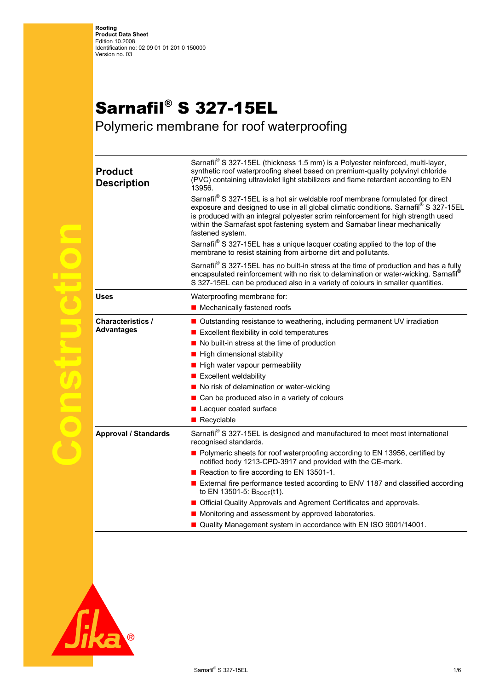## Sarnafil® S 327-15EL

Polymeric membrane for roof waterproofing

| <b>Product</b><br><b>Description</b>          | Sarnafil® S 327-15EL (thickness 1.5 mm) is a Polyester reinforced, multi-layer,<br>synthetic roof waterproofing sheet based on premium-quality polyvinyl chloride<br>(PVC) containing ultraviolet light stabilizers and flame retardant according to EN<br>13956.<br>Sarnafil® S 327-15EL is a hot air weldable roof membrane formulated for direct<br>exposure and designed to use in all global climatic conditions. Sarnafil® S 327-15EL<br>is produced with an integral polyester scrim reinforcement for high strength used<br>within the Sarnafast spot fastening system and Sarnabar linear mechanically<br>fastened system.<br>Sarnafil® S 327-15EL has a unique lacquer coating applied to the top of the<br>membrane to resist staining from airborne dirt and pollutants. |
|-----------------------------------------------|--------------------------------------------------------------------------------------------------------------------------------------------------------------------------------------------------------------------------------------------------------------------------------------------------------------------------------------------------------------------------------------------------------------------------------------------------------------------------------------------------------------------------------------------------------------------------------------------------------------------------------------------------------------------------------------------------------------------------------------------------------------------------------------|
|                                               | Sarnafil® S 327-15EL has no built-in stress at the time of production and has a fully<br>encapsulated reinforcement with no risk to delamination or water-wicking. Sarnafil®<br>S 327-15EL can be produced also in a variety of colours in smaller quantities.                                                                                                                                                                                                                                                                                                                                                                                                                                                                                                                       |
| <b>Uses</b>                                   | Waterproofing membrane for:                                                                                                                                                                                                                                                                                                                                                                                                                                                                                                                                                                                                                                                                                                                                                          |
|                                               | ■ Mechanically fastened roofs                                                                                                                                                                                                                                                                                                                                                                                                                                                                                                                                                                                                                                                                                                                                                        |
| <b>Characteristics /</b><br><b>Advantages</b> | ■ Outstanding resistance to weathering, including permanent UV irradiation<br>Excellent flexibility in cold temperatures<br>No built-in stress at the time of production<br>■ High dimensional stability<br>$\blacksquare$ High water vapour permeability<br>$\blacksquare$ Excellent weldability<br>No risk of delamination or water-wicking<br>Can be produced also in a variety of colours<br>Lacquer coated surface<br>Recyclable                                                                                                                                                                                                                                                                                                                                                |
| <b>Approval / Standards</b>                   | Sarnafil <sup>®</sup> S 327-15EL is designed and manufactured to meet most international<br>recognised standards.<br>Polymeric sheets for roof waterproofing according to EN 13956, certified by<br>notified body 1213-CPD-3917 and provided with the CE-mark.<br>Reaction to fire according to EN 13501-1.<br>External fire performance tested according to ENV 1187 and classified according<br>to EN 13501-5: BROOF(t1).<br>Official Quality Approvals and Agrement Certificates and approvals.<br>Monitoring and assessment by approved laboratories.<br>■ Quality Management system in accordance with EN ISO 9001/14001.                                                                                                                                                       |



**Construction**

**PREFIGER** 

 $\bigodot$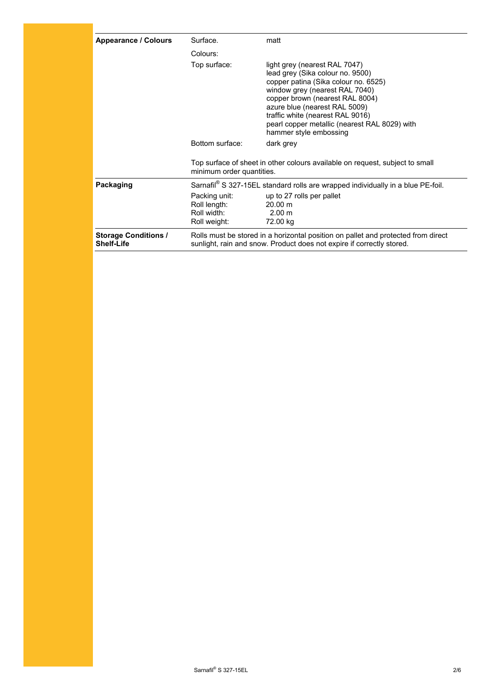| <b>Appearance / Colours</b>                      | Surface.                                                                                    | matt                                                                                                                                                                                                                                                                                                                           |
|--------------------------------------------------|---------------------------------------------------------------------------------------------|--------------------------------------------------------------------------------------------------------------------------------------------------------------------------------------------------------------------------------------------------------------------------------------------------------------------------------|
|                                                  | Colours:                                                                                    |                                                                                                                                                                                                                                                                                                                                |
|                                                  | Top surface:                                                                                | light grey (nearest RAL 7047)<br>lead grey (Sika colour no. 9500)<br>copper patina (Sika colour no. 6525)<br>window grey (nearest RAL 7040)<br>copper brown (nearest RAL 8004)<br>azure blue (nearest RAL 5009)<br>traffic white (nearest RAL 9016)<br>pearl copper metallic (nearest RAL 8029) with<br>hammer style embossing |
|                                                  | Bottom surface:                                                                             | dark grey                                                                                                                                                                                                                                                                                                                      |
|                                                  | minimum order quantities.                                                                   | Top surface of sheet in other colours available on request, subject to small                                                                                                                                                                                                                                                   |
| Packaging                                        | Sarnafil <sup>®</sup> S 327-15EL standard rolls are wrapped individually in a blue PE-foil. |                                                                                                                                                                                                                                                                                                                                |
|                                                  | Packing unit:<br>Roll length:<br>Roll width:<br>Roll weight:                                | up to 27 rolls per pallet<br>20.00 m<br>2.00 m<br>72.00 kg                                                                                                                                                                                                                                                                     |
| <b>Storage Conditions /</b><br><b>Shelf-Life</b> |                                                                                             | Rolls must be stored in a horizontal position on pallet and protected from direct<br>sunlight, rain and snow. Product does not expire if correctly stored.                                                                                                                                                                     |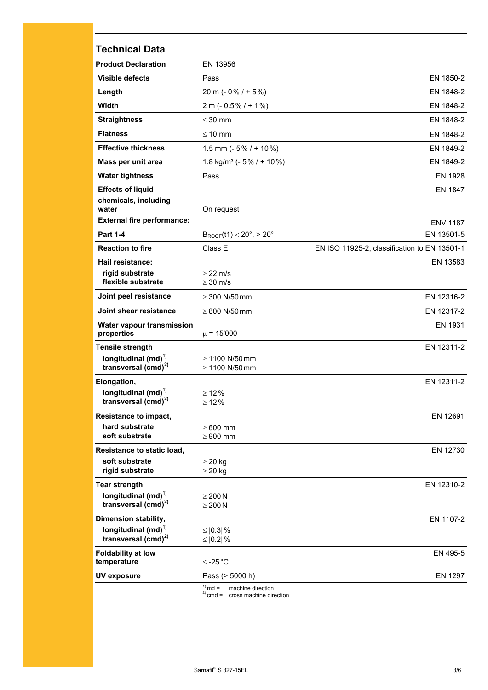| <b>Technical Data</b>                                   |                                                  |                                              |
|---------------------------------------------------------|--------------------------------------------------|----------------------------------------------|
| <b>Product Declaration</b>                              | EN 13956                                         |                                              |
| <b>Visible defects</b>                                  | Pass                                             | EN 1850-2                                    |
| Length                                                  | 20 m ( $-0\%$ / $+5\%$ )                         | EN 1848-2                                    |
| Width                                                   | $2 m (-0.5\% / + 1\%)$                           | EN 1848-2                                    |
| <b>Straightness</b>                                     | $\leq 30$ mm                                     | EN 1848-2                                    |
| <b>Flatness</b>                                         | $\leq 10$ mm                                     | EN 1848-2                                    |
| <b>Effective thickness</b>                              | 1.5 mm ( $-5\%$ / + 10%)                         | EN 1849-2                                    |
| Mass per unit area                                      | 1.8 kg/m <sup>2</sup> ( $-5\%$ / $+10\%$ )       | EN 1849-2                                    |
| <b>Water tightness</b>                                  | Pass                                             | EN 1928                                      |
| <b>Effects of liquid</b>                                |                                                  | EN 1847                                      |
| chemicals, including<br>water                           | On request                                       |                                              |
| <b>External fire performance:</b>                       |                                                  | <b>ENV 1187</b>                              |
| <b>Part 1-4</b>                                         | $B_{\text{ROOF}}(t1) < 20^{\circ}, > 20^{\circ}$ | EN 13501-5                                   |
| <b>Reaction to fire</b>                                 | Class E                                          | EN ISO 11925-2, classification to EN 13501-1 |
| Hail resistance:                                        |                                                  | EN 13583                                     |
| rigid substrate<br>flexible substrate                   | $\geq$ 22 m/s<br>$\geq$ 30 m/s                   |                                              |
| Joint peel resistance                                   |                                                  | EN 12316-2                                   |
| Joint shear resistance                                  | $\geq 300$ N/50 mm                               |                                              |
|                                                         | $\geq 800$ N/50 mm                               | EN 12317-2                                   |
| Water vapour transmission<br>properties                 | $\mu$ = 15'000                                   | EN 1931                                      |
| <b>Tensile strength</b>                                 |                                                  | EN 12311-2                                   |
| longitudinal $(md)^{1}$<br>transversal $(cmd)^{2)}$     | $\geq 1100$ N/50 mm<br>$\geq 1100$ N/50 mm       |                                              |
| Elongation,                                             |                                                  | EN 12311-2                                   |
| longitudinal (md) <sup>1)</sup>                         | $\geq 12\%$                                      |                                              |
| transversal (cmd) <sup>2)</sup>                         | $\geq 12\%$                                      |                                              |
| <b>Resistance to impact,</b>                            |                                                  | EN 12691                                     |
| hard substrate<br>soft substrate                        | $\geq 600$ mm<br>$\geq 900$ mm                   |                                              |
| Resistance to static load,                              |                                                  | EN 12730                                     |
| soft substrate                                          | $\geq$ 20 kg                                     |                                              |
| rigid substrate                                         | $\geq$ 20 kg                                     |                                              |
| <b>Tear strength</b>                                    |                                                  | EN 12310-2                                   |
| longitudinal $(md)^{1}$<br>transversal $(cmd)^{2}$      | $\geq 200 N$                                     |                                              |
|                                                         | $\geq 200 N$                                     |                                              |
| Dimension stability,<br>longitudinal (md) <sup>1)</sup> | $\leq$ [0.3] %                                   | EN 1107-2                                    |
| transversal $(cmd)^{2}$                                 | ≤ $ 0.2 $ %                                      |                                              |
| <b>Foldability at low</b>                               |                                                  | EN 495-5                                     |
| temperature                                             | $≤ -25 °C$                                       |                                              |
| <b>UV exposure</b>                                      | Pass (> 5000 h)                                  | EN 1297                                      |

<sup>1)</sup> md = machine direction<br><sup>2)</sup> cmd = cross machine direction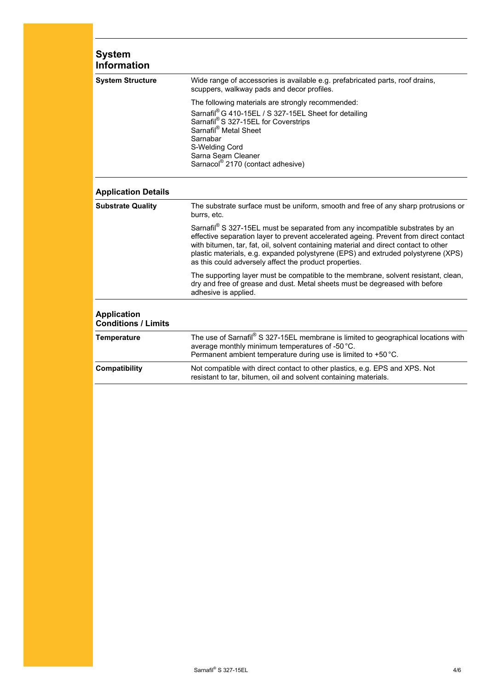| <b>System</b><br><b>Information</b>              |                                                                                                                                                                                                                                                                                                                                                                                                               |
|--------------------------------------------------|---------------------------------------------------------------------------------------------------------------------------------------------------------------------------------------------------------------------------------------------------------------------------------------------------------------------------------------------------------------------------------------------------------------|
| <b>System Structure</b>                          | Wide range of accessories is available e.g. prefabricated parts, roof drains,<br>scuppers, walkway pads and decor profiles.                                                                                                                                                                                                                                                                                   |
|                                                  | The following materials are strongly recommended:<br>Sarnafil® G 410-15EL / S 327-15EL Sheet for detailing<br>Sarnafil® S 327-15EL for Coverstrips<br>Sarnafil® Metal Sheet<br>Sarnabar<br>S-Welding Cord<br>Sarna Seam Cleaner<br>Sarnacol® 2170 (contact adhesive)                                                                                                                                          |
| <b>Application Details</b>                       |                                                                                                                                                                                                                                                                                                                                                                                                               |
| <b>Substrate Quality</b>                         | The substrate surface must be uniform, smooth and free of any sharp protrusions or<br>burrs, etc.                                                                                                                                                                                                                                                                                                             |
|                                                  | Sarnafil® S 327-15EL must be separated from any incompatible substrates by an<br>effective separation layer to prevent accelerated ageing. Prevent from direct contact<br>with bitumen, tar, fat, oil, solvent containing material and direct contact to other<br>plastic materials, e.g. expanded polystyrene (EPS) and extruded polystyrene (XPS)<br>as this could adversely affect the product properties. |
|                                                  | The supporting layer must be compatible to the membrane, solvent resistant, clean,<br>dry and free of grease and dust. Metal sheets must be degreased with before<br>adhesive is applied.                                                                                                                                                                                                                     |
| <b>Application</b><br><b>Conditions / Limits</b> |                                                                                                                                                                                                                                                                                                                                                                                                               |
| <b>Temperature</b>                               | The use of Sarnafil® S 327-15EL membrane is limited to geographical locations with<br>average monthly minimum temperatures of -50 °C.<br>Permanent ambient temperature during use is limited to +50 °C.                                                                                                                                                                                                       |
| <b>Compatibility</b>                             | Not compatible with direct contact to other plastics, e.g. EPS and XPS. Not<br>resistant to tar, bitumen, oil and solvent containing materials.                                                                                                                                                                                                                                                               |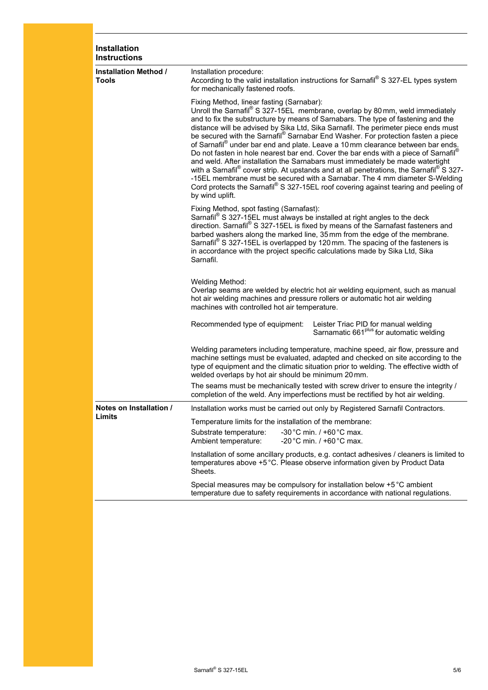| Installation<br><b>Instructions</b>          |                                                                                                                                                                                                                                                                                                                                                                                                                                                                                                                                                                                                                                                                                                                                                                                                                                                                                                                                         |  |  |
|----------------------------------------------|-----------------------------------------------------------------------------------------------------------------------------------------------------------------------------------------------------------------------------------------------------------------------------------------------------------------------------------------------------------------------------------------------------------------------------------------------------------------------------------------------------------------------------------------------------------------------------------------------------------------------------------------------------------------------------------------------------------------------------------------------------------------------------------------------------------------------------------------------------------------------------------------------------------------------------------------|--|--|
| <b>Installation Method /</b><br><b>Tools</b> | Installation procedure:<br>According to the valid installation instructions for Sarnafil® S 327-EL types system<br>for mechanically fastened roofs.                                                                                                                                                                                                                                                                                                                                                                                                                                                                                                                                                                                                                                                                                                                                                                                     |  |  |
|                                              | Fixing Method, linear fasting (Sarnabar):<br>Unroll the Sarnafil® S 327-15EL membrane, overlap by 80 mm, weld immediately<br>and to fix the substructure by means of Sarnabars. The type of fastening and the<br>distance will be advised by Sika Ltd, Sika Sarnafil. The perimeter piece ends must<br>be secured with the Sarnafil® Sarnabar End Washer. For protection fasten a piece<br>of Sarnafil® under bar end and plate. Leave a 10 mm clearance between bar ends.<br>Do not fasten in hole nearest bar end. Cover the bar ends with a piece of Sarnafil®<br>and weld. After installation the Sarnabars must immediately be made watertight<br>with a Sarnafil® cover strip. At upstands and at all penetrations, the Sarnafil® S 327-<br>-15EL membrane must be secured with a Sarnabar. The 4 mm diameter S-Welding<br>Cord protects the Sarnafil® S 327-15EL roof covering against tearing and peeling of<br>by wind uplift. |  |  |
|                                              | Fixing Method, spot fasting (Sarnafast):<br>Sarnafil <sup>®</sup> S 327-15EL must always be installed at right angles to the deck<br>direction. Sarnafil® S 327-15EL is fixed by means of the Sarnafast fasteners and<br>barbed washers along the marked line, 35 mm from the edge of the membrane.<br>Sarnafil <sup>®</sup> S 327-15EL is overlapped by 120mm. The spacing of the fasteners is<br>in accordance with the project specific calculations made by Sika Ltd, Sika<br>Sarnafil.                                                                                                                                                                                                                                                                                                                                                                                                                                             |  |  |
|                                              | Welding Method:<br>Overlap seams are welded by electric hot air welding equipment, such as manual<br>hot air welding machines and pressure rollers or automatic hot air welding<br>machines with controlled hot air temperature.                                                                                                                                                                                                                                                                                                                                                                                                                                                                                                                                                                                                                                                                                                        |  |  |
|                                              | Recommended type of equipment:<br>Leister Triac PID for manual welding<br>Sarnamatic 661 <sup>plus</sup> for automatic welding                                                                                                                                                                                                                                                                                                                                                                                                                                                                                                                                                                                                                                                                                                                                                                                                          |  |  |
|                                              | Welding parameters including temperature, machine speed, air flow, pressure and<br>machine settings must be evaluated, adapted and checked on site according to the<br>type of equipment and the climatic situation prior to welding. The effective width of<br>welded overlaps by hot air should be minimum 20 mm.                                                                                                                                                                                                                                                                                                                                                                                                                                                                                                                                                                                                                     |  |  |
|                                              | The seams must be mechanically tested with screw driver to ensure the integrity /<br>completion of the weld. Any imperfections must be rectified by hot air welding.                                                                                                                                                                                                                                                                                                                                                                                                                                                                                                                                                                                                                                                                                                                                                                    |  |  |
| Notes on Installation /                      | Installation works must be carried out only by Registered Sarnafil Contractors.                                                                                                                                                                                                                                                                                                                                                                                                                                                                                                                                                                                                                                                                                                                                                                                                                                                         |  |  |
| Limits                                       | Temperature limits for the installation of the membrane:                                                                                                                                                                                                                                                                                                                                                                                                                                                                                                                                                                                                                                                                                                                                                                                                                                                                                |  |  |
|                                              | -30 °C min. $/$ +60 °C max.<br>Substrate temperature:<br>-20 °C min. $/$ +60 °C max.<br>Ambient temperature:                                                                                                                                                                                                                                                                                                                                                                                                                                                                                                                                                                                                                                                                                                                                                                                                                            |  |  |
|                                              | Installation of some ancillary products, e.g. contact adhesives / cleaners is limited to<br>temperatures above +5 °C. Please observe information given by Product Data<br>Sheets.                                                                                                                                                                                                                                                                                                                                                                                                                                                                                                                                                                                                                                                                                                                                                       |  |  |
|                                              | Special measures may be compulsory for installation below +5 °C ambient<br>temperature due to safety requirements in accordance with national regulations.                                                                                                                                                                                                                                                                                                                                                                                                                                                                                                                                                                                                                                                                                                                                                                              |  |  |
|                                              |                                                                                                                                                                                                                                                                                                                                                                                                                                                                                                                                                                                                                                                                                                                                                                                                                                                                                                                                         |  |  |